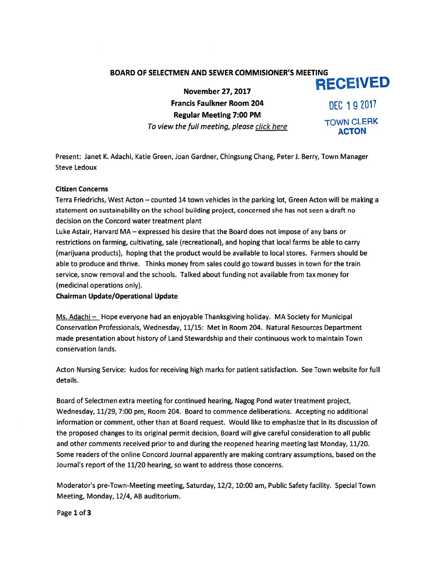# BOARD OF SELECTMEN AND SEWER COMMISIONER'S MEETING

November 27, 2017 **RECEIVED** 

Francis Faulkner Room 204 final fift 19  $\overline{C}$  19  $\overline{2017}$ Regular Meeting 7:00 PM To view the full meeting, please click here TOWN CLERK

Present: Janet K. Adachi, Katie Green, Joan Gardner, Chingsung Chang, Peter J. Berry, Town Manager Steve Ledoux

# Citizen Concerns

Terra Friedrichs, West Acton — counted 14 town vehicles in the parking lot, Green Acton will be making <sup>a</sup> statement on sustainability on the school building project, concerned she has not seen <sup>a</sup> draft no decision on the Concord water treatment plant

Luke Astair, Harvard MA — expressed his desire that the Board does not impose of any bans or restrictions on farming, cultivating, sale (recreational), and hoping that local farms be able to carry (marijuana products), hoping that the product would be available to local stores. Farmers should be able to produce and thrive. Thinks money from sales could go toward busses in town for the train service, snow removal and the schools. Talked about funding not available from tax money for (medicinal operations only).

### Chairman Update/Operational Update

Ms. Adachi — Hope everyone had an enjoyable Thanksgiving holiday. MA Society for Municipal Conservation Professionals, Wednesday, 11/15: Met in Room 204. Natural Resources Department made presentation about history of Land Stewardship and their continuous work to maintain Town conservation lands.

Acton Nursing Service: kudos for receiving high marks for patient satisfaction. See Town website for full details.

Board of Selectmen extra meeting for continued hearing, Nagog Pond water treatment project, Wednesday, 11/29, 7:00 pm, Room 204. Board to commence deliberations. Accepting no additional information or comment, other than at Board request. Would like to emphasize that in its discussion of the proposed changes to its original permit decision, Board will give careful consideration to all public and other comments received prior to and during the reopened hearing meeting last Monday, 11/20. Some readers of the online Concord Journal apparently are making contrary assumptions, based on the Journal's repor<sup>t</sup> of the 11/20 hearing, so want to address those concerns.

Moderator's pre-Town-Meeting meeting, Saturday, 12/2, 10:00 am, Public Safety facility. Special Town Meeting, Monday, 12/4, AB auditorium.

Page 1 of 3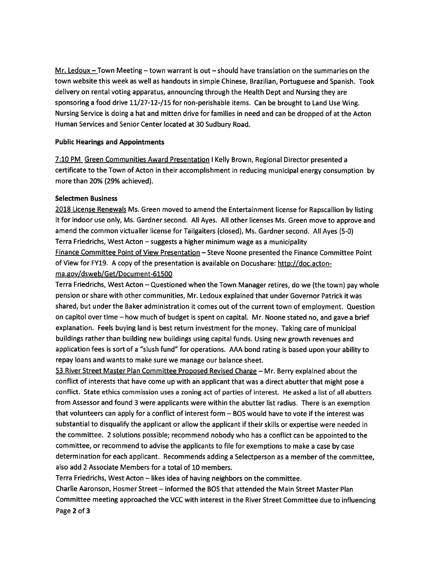Mr. Ledoux — Town Meeting — town warrant is out — should have translation on the summaries on the town website this week as well as handouts in simple Chinese, Brazilian, Portuguese and Spanish. Took delivery on rental voting apparatus, announcing through the Health Dept and Nursing they are sponsoring a food drive 11/27-12-/15 for non-perishable items. Can be brought to Land Use Wing. Nursing Service is doing <sup>a</sup> hat and mitten drive for families in need and can be dropped of at the Acton Human Services and Senior Center located at 30 Sudbury Road.

## Public Hearings and Appointments

7:10 PM Green Communities Award Presentation <sup>I</sup> Kelly Brown, Regional Director presented <sup>a</sup> certificate to the Town of Acton in their accomplishment in reducing municipal energy consumption by more than 20% (29% achieved).

# Selectmen Business

2018 License Renewals Ms. Green moved to amend the Entertainment license for Rapscallion by listing it for indoor use only, Ms. Gardner second. All Ayes. All other licenses Ms. Green move to approve and amend the common victualler license for Tailgaiters (closed), Ms. Gardner second. All Ayes (5-0) Terra Friedrichs, West Acton — suggests <sup>a</sup> higher minimum wage as <sup>a</sup> municipality Finance Committee Point of View Presentation — Steve Noone presented the Finance Committee Point of View for FY19. <sup>A</sup> copy of the presentation is available on Docushare: http://doc.acton ma.gov/dsweb/Get/Document-61500

Terra Friedrichs, West Acton — Questioned when the Town Manager retires, do we (the town) pay whole pension or share with other communities, Mr. Ledoux explained that under Governor Patrick it was shared, but under the Baker administration it comes out of the current town of employment. Question on capitol over time — how much of budget is spen<sup>t</sup> on capital. Mr. Noone stated no, and gave <sup>a</sup> brief explanation. Feels buying land is best return investment for the money. Taking care of municipal buildings rather than building new buildings using capital funds. Using new growth revenues and application fees is sort of <sup>a</sup> "slush fund" for operations. AAA bond rating is based upon your ability to repay loans and wants to make sure we manage our balance sheet.

<sup>53</sup> River Street Master Plan Committee Proposed Revised Charge — Mr. Berry explained about the conflict of interests that have come up with an applicant that was <sup>a</sup> direct abutter that might pose <sup>a</sup> conflict. State ethics commission uses <sup>a</sup> zoning act of parties of interest. He asked <sup>a</sup> list of all abutters from Assessor and found 3 were applicants were within the abutter list radius. There is an exemption that volunteers can apply for <sup>a</sup> conflict of interest form — BOS would have to vote if the interest was substantial to disqualify the applicant or allow the applicant if their skills or expertise were needed in the committee. <sup>2</sup> solutions possible; recommend nobody who has <sup>a</sup> conflict can be appointed to the committee, or recommend to advise the applicants to file for exemptions to make <sup>a</sup> case by case determination for each applicant. Recommends adding <sup>a</sup> Selectperson as <sup>a</sup> member of the committee, also add 2 Associate Members for <sup>a</sup> total of 10 members.

Terra Fried richs, West Acton – likes idea of having neighbors on the committee.

Charlie Aaronson, Hosmer Street — informed the BOS that attended the Main Street Master Plan Committee meeting approached the VCC with interest in the River Street Committee due to influencing Page 2 of 3